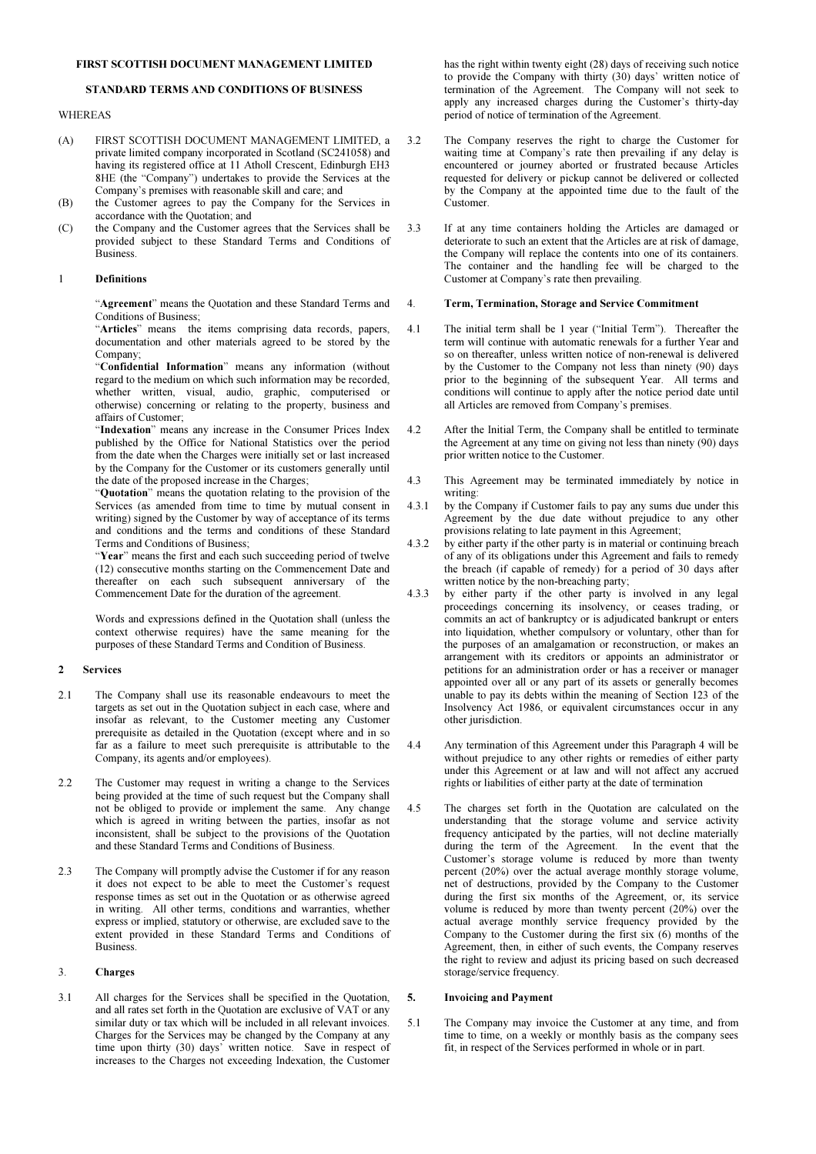#### FIRST SCOTTISH DOCUMENT MANAGEMENT LIMITED

# STANDARD TERMS AND CONDITIONS OF BUSINESS

## WHEREAS

- (A) FIRST SCOTTISH DOCUMENT MANAGEMENT LIMITED, a private limited company incorporated in Scotland (SC241058) and having its registered office at 11 Atholl Crescent, Edinburgh EH3 8HE (the "Company") undertakes to provide the Services at the Company's premises with reasonable skill and care; and
- (B) the Customer agrees to pay the Company for the Services in accordance with the Quotation; and
- (C) the Company and the Customer agrees that the Services shall be provided subject to these Standard Terms and Conditions of Business.

#### 1 Definitions

"Agreement" means the Quotation and these Standard Terms and Conditions of Business;

"Articles" means the items comprising data records, papers, documentation and other materials agreed to be stored by the Company;

"Confidential Information" means any information (without regard to the medium on which such information may be recorded, whether written, visual, audio, graphic, computerised or otherwise) concerning or relating to the property, business and affairs of Customer;

"Indexation" means any increase in the Consumer Prices Index published by the Office for National Statistics over the period from the date when the Charges were initially set or last increased by the Company for the Customer or its customers generally until the date of the proposed increase in the Charges;

"Quotation" means the quotation relating to the provision of the Services (as amended from time to time by mutual consent in writing) signed by the Customer by way of acceptance of its terms and conditions and the terms and conditions of these Standard Terms and Conditions of Business;

"Year" means the first and each such succeeding period of twelve (12) consecutive months starting on the Commencement Date and thereafter on each such subsequent anniversary of the Commencement Date for the duration of the agreement.

 Words and expressions defined in the Quotation shall (unless the context otherwise requires) have the same meaning for the purposes of these Standard Terms and Condition of Business.

#### 2 Services

- 2.1 The Company shall use its reasonable endeavours to meet the targets as set out in the Quotation subject in each case, where and insofar as relevant, to the Customer meeting any Customer prerequisite as detailed in the Quotation (except where and in so far as a failure to meet such prerequisite is attributable to the Company, its agents and/or employees).
- 2.2 The Customer may request in writing a change to the Services being provided at the time of such request but the Company shall not be obliged to provide or implement the same. Any change which is agreed in writing between the parties, insofar as not inconsistent, shall be subject to the provisions of the Quotation and these Standard Terms and Conditions of Business.
- 2.3 The Company will promptly advise the Customer if for any reason it does not expect to be able to meet the Customer's request response times as set out in the Quotation or as otherwise agreed in writing. All other terms, conditions and warranties, whether express or implied, statutory or otherwise, are excluded save to the extent provided in these Standard Terms and Conditions of Business.

#### 3. Charges

3.1 All charges for the Services shall be specified in the Quotation, and all rates set forth in the Quotation are exclusive of VAT or any similar duty or tax which will be included in all relevant invoices. Charges for the Services may be changed by the Company at any time upon thirty (30) days' written notice. Save in respect of increases to the Charges not exceeding Indexation, the Customer

has the right within twenty eight (28) days of receiving such notice to provide the Company with thirty (30) days' written notice of termination of the Agreement. The Company will not seek to apply any increased charges during the Customer's thirty-day period of notice of termination of the Agreement.

- 3.2 The Company reserves the right to charge the Customer for waiting time at Company's rate then prevailing if any delay is encountered or journey aborted or frustrated because Articles requested for delivery or pickup cannot be delivered or collected by the Company at the appointed time due to the fault of the Customer.
- 3.3 If at any time containers holding the Articles are damaged or deteriorate to such an extent that the Articles are at risk of damage, the Company will replace the contents into one of its containers. The container and the handling fee will be charged to the Customer at Company's rate then prevailing.

#### 4. Term, Termination, Storage and Service Commitment

- 4.1 The initial term shall be 1 year ("Initial Term"). Thereafter the term will continue with automatic renewals for a further Year and so on thereafter, unless written notice of non-renewal is delivered by the Customer to the Company not less than ninety (90) days prior to the beginning of the subsequent Year. All terms and conditions will continue to apply after the notice period date until all Articles are removed from Company's premises.
- 4.2 After the Initial Term, the Company shall be entitled to terminate the Agreement at any time on giving not less than ninety (90) days prior written notice to the Customer.
- 4.3 This Agreement may be terminated immediately by notice in writing:
- 4.3.1 by the Company if Customer fails to pay any sums due under this Agreement by the due date without prejudice to any other provisions relating to late payment in this Agreement;
- 4.3.2 by either party if the other party is in material or continuing breach of any of its obligations under this Agreement and fails to remedy the breach (if capable of remedy) for a period of 30 days after written notice by the non-breaching party;
- 4.3.3 by either party if the other party is involved in any legal proceedings concerning its insolvency, or ceases trading, or commits an act of bankruptcy or is adjudicated bankrupt or enters into liquidation, whether compulsory or voluntary, other than for the purposes of an amalgamation or reconstruction, or makes an arrangement with its creditors or appoints an administrator or petitions for an administration order or has a receiver or manager appointed over all or any part of its assets or generally becomes unable to pay its debts within the meaning of Section 123 of the Insolvency Act 1986, or equivalent circumstances occur in any other jurisdiction.
- 4.4 Any termination of this Agreement under this Paragraph 4 will be without prejudice to any other rights or remedies of either party under this Agreement or at law and will not affect any accrued rights or liabilities of either party at the date of termination
- 4.5 The charges set forth in the Quotation are calculated on the understanding that the storage volume and service activity frequency anticipated by the parties, will not decline materially during the term of the Agreement. In the event that the Customer's storage volume is reduced by more than twenty percent (20%) over the actual average monthly storage volume, net of destructions, provided by the Company to the Customer during the first six months of the Agreement, or, its service volume is reduced by more than twenty percent (20%) over the actual average monthly service frequency provided by the Company to the Customer during the first six (6) months of the Agreement, then, in either of such events, the Company reserves the right to review and adjust its pricing based on such decreased storage/service frequency.

## 5. Invoicing and Payment

5.1 The Company may invoice the Customer at any time, and from time to time, on a weekly or monthly basis as the company sees fit, in respect of the Services performed in whole or in part.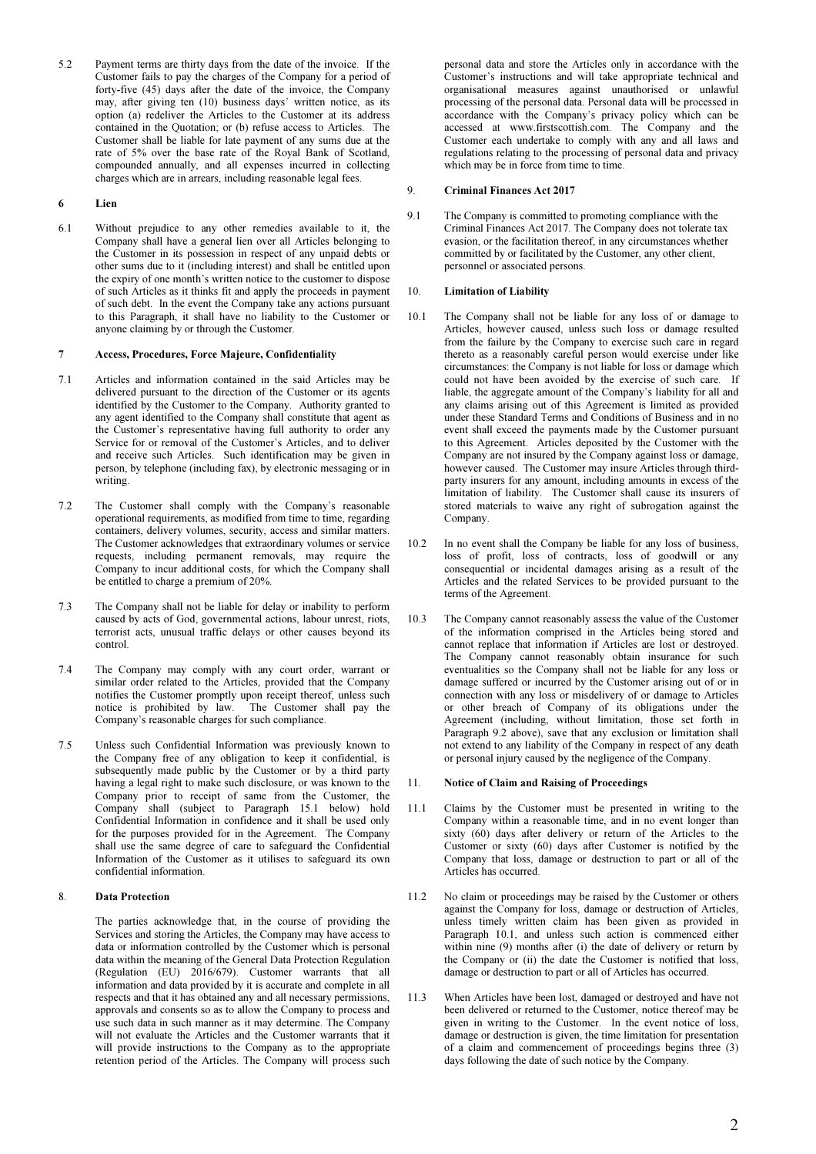5.2 Payment terms are thirty days from the date of the invoice. If the Customer fails to pay the charges of the Company for a period of forty-five (45) days after the date of the invoice, the Company may, after giving ten (10) business days' written notice, as its option (a) redeliver the Articles to the Customer at its address contained in the Quotation; or (b) refuse access to Articles. The Customer shall be liable for late payment of any sums due at the rate of 5% over the base rate of the Royal Bank of Scotland, compounded annually, and all expenses incurred in collecting charges which are in arrears, including reasonable legal fees.

# 6 Lien

6.1 Without prejudice to any other remedies available to it, the Company shall have a general lien over all Articles belonging to the Customer in its possession in respect of any unpaid debts or other sums due to it (including interest) and shall be entitled upon the expiry of one month's written notice to the customer to dispose of such Articles as it thinks fit and apply the proceeds in payment of such debt. In the event the Company take any actions pursuant to this Paragraph, it shall have no liability to the Customer or anyone claiming by or through the Customer.

# 7 Access, Procedures, Force Majeure, Confidentiality

- 7.1 Articles and information contained in the said Articles may be delivered pursuant to the direction of the Customer or its agents identified by the Customer to the Company. Authority granted to any agent identified to the Company shall constitute that agent as the Customer's representative having full authority to order any Service for or removal of the Customer's Articles, and to deliver and receive such Articles. Such identification may be given in person, by telephone (including fax), by electronic messaging or in writing.
- 7.2 The Customer shall comply with the Company's reasonable operational requirements, as modified from time to time, regarding containers, delivery volumes, security, access and similar matters. The Customer acknowledges that extraordinary volumes or service requests, including permanent removals, may require the Company to incur additional costs, for which the Company shall be entitled to charge a premium of 20%.
- 7.3 The Company shall not be liable for delay or inability to perform caused by acts of God, governmental actions, labour unrest, riots, terrorist acts, unusual traffic delays or other causes beyond its control.
- 7.4 The Company may comply with any court order, warrant or similar order related to the Articles, provided that the Company notifies the Customer promptly upon receipt thereof, unless such notice is prohibited by law. The Customer shall pay the The Customer shall pay the Company's reasonable charges for such compliance.
- 7.5 Unless such Confidential Information was previously known to the Company free of any obligation to keep it confidential, is subsequently made public by the Customer or by a third party having a legal right to make such disclosure, or was known to the Company prior to receipt of same from the Customer, the Company shall (subject to Paragraph 15.1 below) hold Confidential Information in confidence and it shall be used only for the purposes provided for in the Agreement. The Company shall use the same degree of care to safeguard the Confidential Information of the Customer as it utilises to safeguard its own confidential information.

## 8. Data Protection

 The parties acknowledge that, in the course of providing the Services and storing the Articles, the Company may have access to data or information controlled by the Customer which is personal data within the meaning of the General Data Protection Regulation (Regulation (EU) 2016/679). Customer warrants that all information and data provided by it is accurate and complete in all respects and that it has obtained any and all necessary permissions, approvals and consents so as to allow the Company to process and use such data in such manner as it may determine. The Company will not evaluate the Articles and the Customer warrants that it will provide instructions to the Company as to the appropriate retention period of the Articles. The Company will process such

personal data and store the Articles only in accordance with the Customer's instructions and will take appropriate technical and organisational measures against unauthorised or unlawful processing of the personal data. Personal data will be processed in accordance with the Company's privacy policy which can be accessed at www.firstscottish.com. The Company and the Customer each undertake to comply with any and all laws and regulations relating to the processing of personal data and privacy which may be in force from time to time.

### 9. Criminal Finances Act 2017

9.1 The Company is committed to promoting compliance with the Criminal Finances Act 2017. The Company does not tolerate tax evasion, or the facilitation thereof, in any circumstances whether committed by or facilitated by the Customer, any other client, personnel or associated persons.

## 10. Limitation of Liability

- 10.1 The Company shall not be liable for any loss of or damage to Articles, however caused, unless such loss or damage resulted from the failure by the Company to exercise such care in regard thereto as a reasonably careful person would exercise under like circumstances: the Company is not liable for loss or damage which could not have been avoided by the exercise of such care. If liable, the aggregate amount of the Company's liability for all and any claims arising out of this Agreement is limited as provided under these Standard Terms and Conditions of Business and in no event shall exceed the payments made by the Customer pursuant to this Agreement. Articles deposited by the Customer with the Company are not insured by the Company against loss or damage, however caused. The Customer may insure Articles through thirdparty insurers for any amount, including amounts in excess of the limitation of liability. The Customer shall cause its insurers of stored materials to waive any right of subrogation against the Company.
- 10.2 In no event shall the Company be liable for any loss of business, loss of profit, loss of contracts, loss of goodwill or any consequential or incidental damages arising as a result of the Articles and the related Services to be provided pursuant to the terms of the Agreement.
- 10.3 The Company cannot reasonably assess the value of the Customer of the information comprised in the Articles being stored and cannot replace that information if Articles are lost or destroyed. The Company cannot reasonably obtain insurance for such eventualities so the Company shall not be liable for any loss or damage suffered or incurred by the Customer arising out of or in connection with any loss or misdelivery of or damage to Articles or other breach of Company of its obligations under the Agreement (including, without limitation, those set forth in Paragraph 9.2 above), save that any exclusion or limitation shall not extend to any liability of the Company in respect of any death or personal injury caused by the negligence of the Company.

### 11. Notice of Claim and Raising of Proceedings

- 11.1 Claims by the Customer must be presented in writing to the Company within a reasonable time, and in no event longer than sixty (60) days after delivery or return of the Articles to the Customer or sixty (60) days after Customer is notified by the Company that loss, damage or destruction to part or all of the Articles has occurred.
- 11.2 No claim or proceedings may be raised by the Customer or others against the Company for loss, damage or destruction of Articles, unless timely written claim has been given as provided in Paragraph 10.1, and unless such action is commenced either within nine (9) months after (i) the date of delivery or return by the Company or (ii) the date the Customer is notified that loss, damage or destruction to part or all of Articles has occurred.
- 11.3 When Articles have been lost, damaged or destroyed and have not been delivered or returned to the Customer, notice thereof may be given in writing to the Customer. In the event notice of loss, damage or destruction is given, the time limitation for presentation of a claim and commencement of proceedings begins three (3) days following the date of such notice by the Company.